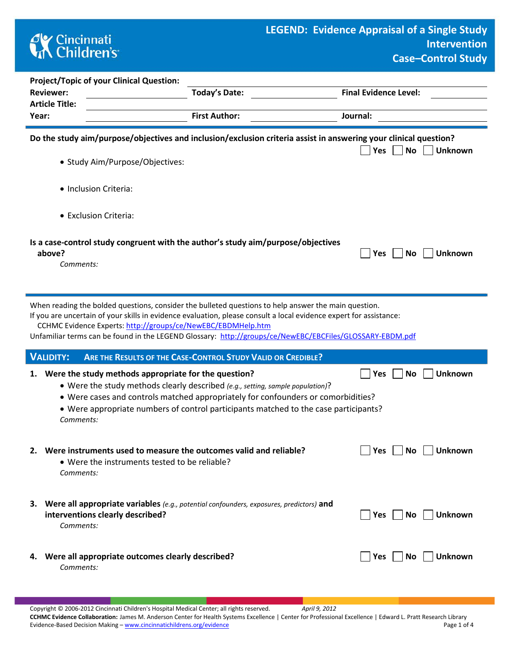## **CK** Cincinnati<br> **Children's**

| <b>Project/Topic of your Clinical Question:</b>                                                                                                                                                                                                                                                                                                                                                        |                                                              |                                 |  |  |  |  |  |  |  |
|--------------------------------------------------------------------------------------------------------------------------------------------------------------------------------------------------------------------------------------------------------------------------------------------------------------------------------------------------------------------------------------------------------|--------------------------------------------------------------|---------------------------------|--|--|--|--|--|--|--|
| <b>Reviewer:</b>                                                                                                                                                                                                                                                                                                                                                                                       | <b>Today's Date:</b>                                         | <b>Final Evidence Level:</b>    |  |  |  |  |  |  |  |
| <b>Article Title:</b>                                                                                                                                                                                                                                                                                                                                                                                  |                                                              |                                 |  |  |  |  |  |  |  |
| Year:                                                                                                                                                                                                                                                                                                                                                                                                  | <b>First Author:</b>                                         | Journal:                        |  |  |  |  |  |  |  |
| Do the study aim/purpose/objectives and inclusion/exclusion criteria assist in answering your clinical question?<br><b>No</b><br><b>Unknown</b><br>Yes<br>· Study Aim/Purpose/Objectives:                                                                                                                                                                                                              |                                                              |                                 |  |  |  |  |  |  |  |
| · Inclusion Criteria:                                                                                                                                                                                                                                                                                                                                                                                  |                                                              |                                 |  |  |  |  |  |  |  |
| • Exclusion Criteria:                                                                                                                                                                                                                                                                                                                                                                                  |                                                              |                                 |  |  |  |  |  |  |  |
| Is a case-control study congruent with the author's study aim/purpose/objectives<br>above?<br>Comments:                                                                                                                                                                                                                                                                                                |                                                              | No<br><b>Unknown</b><br>Yes     |  |  |  |  |  |  |  |
| When reading the bolded questions, consider the bulleted questions to help answer the main question.<br>If you are uncertain of your skills in evidence evaluation, please consult a local evidence expert for assistance:<br>CCHMC Evidence Experts: http://groups/ce/NewEBC/EBDMHelp.htm<br>Unfamiliar terms can be found in the LEGEND Glossary: http://groups/ce/NewEBC/EBCFiles/GLOSSARY-EBDM.pdf |                                                              |                                 |  |  |  |  |  |  |  |
| <b>VALIDITY:</b>                                                                                                                                                                                                                                                                                                                                                                                       | ARE THE RESULTS OF THE CASE-CONTROL STUDY VALID OR CREDIBLE? |                                 |  |  |  |  |  |  |  |
| <b>Unknown</b><br>Were the study methods appropriate for the question?<br>No<br>Yes<br>1.<br>• Were the study methods clearly described (e.g., setting, sample population)?<br>• Were cases and controls matched appropriately for confounders or comorbidities?<br>• Were appropriate numbers of control participants matched to the case participants?<br>Comments:                                  |                                                              |                                 |  |  |  |  |  |  |  |
| 2. Were instruments used to measure the outcomes valid and reliable?<br>• Were the instruments tested to be reliable?<br>Comments:                                                                                                                                                                                                                                                                     |                                                              | No<br><b>Unknown</b><br>Yes $ $ |  |  |  |  |  |  |  |
| 3. Were all appropriate variables (e.g., potential confounders, exposures, predictors) and<br>interventions clearly described?<br>Comments:                                                                                                                                                                                                                                                            |                                                              | Yes    No    Unknown            |  |  |  |  |  |  |  |

## **4.** Were all appropriate outcomes clearly described? **We Unknown** Des No Unknown *Comments:*

Copyright © 2006-2012 Cincinnati Children's Hospital Medical Center; all rights reserved. *April 9, 2012* **CCHMC Evidence Collaboration:** James M. Anderson Center for Health Systems Excellence | Center for Professional Excellence | Edward L. Pratt Research Library Evidence-Based Decision Making – [www.cincinnatichildrens.org/evidence](http://www.cincinnatichildrens.org/service/j/anderson-center/evidence-based-care/legend/) Page 1 of 4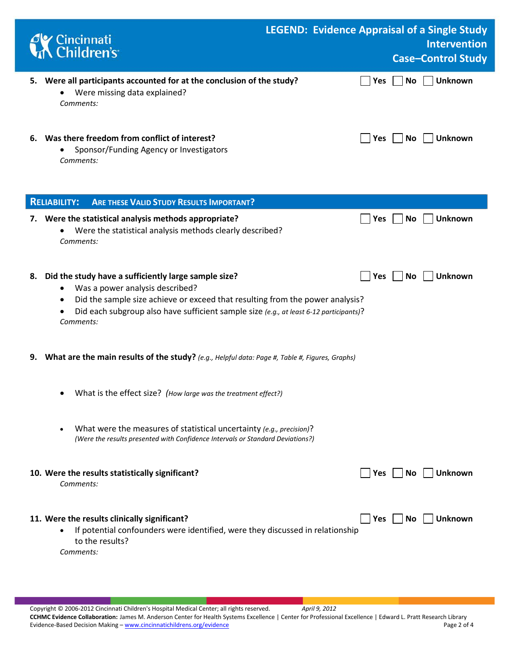| Cincinnati<br>Children's                                                                                                                                                                                                                                                                                     | <b>LEGEND: Evidence Appraisal of a Single Study</b> | <b>Intervention</b><br><b>Case-Control Study</b> |
|--------------------------------------------------------------------------------------------------------------------------------------------------------------------------------------------------------------------------------------------------------------------------------------------------------------|-----------------------------------------------------|--------------------------------------------------|
| 5. Were all participants accounted for at the conclusion of the study?<br>Were missing data explained?<br>٠<br>Comments:                                                                                                                                                                                     | Yes                                                 | <b>Unknown</b><br>No                             |
| 6. Was there freedom from conflict of interest?<br>Sponsor/Funding Agency or Investigators<br>Comments:                                                                                                                                                                                                      | Yes                                                 | No<br><b>Unknown</b>                             |
| <b>ARE THESE VALID STUDY RESULTS IMPORTANT?</b><br><b>RELIABILITY:</b>                                                                                                                                                                                                                                       |                                                     |                                                  |
| 7. Were the statistical analysis methods appropriate?<br>Were the statistical analysis methods clearly described?<br>Comments:                                                                                                                                                                               | Yes                                                 | <b>No</b><br><b>Unknown</b>                      |
| Did the study have a sufficiently large sample size?<br>8.<br>Was a power analysis described?<br>٠<br>Did the sample size achieve or exceed that resulting from the power analysis?<br>٠<br>Did each subgroup also have sufficient sample size (e.g., at least 6-12 participants)?<br>$\bullet$<br>Comments: | Yes                                                 | Unknown<br>No                                    |
| What are the main results of the study? (e.g., Helpful data: Page #, Table #, Figures, Graphs)<br>9.                                                                                                                                                                                                         |                                                     |                                                  |
| What is the effect size? (How large was the treatment effect?)                                                                                                                                                                                                                                               |                                                     |                                                  |
| What were the measures of statistical uncertainty (e.g., precision)?<br>$\bullet$<br>(Were the results presented with Confidence Intervals or Standard Deviations?)                                                                                                                                          |                                                     |                                                  |
| 10. Were the results statistically significant?<br>Comments:                                                                                                                                                                                                                                                 | Yes                                                 | <b>No</b><br><b>Unknown</b>                      |
| 11. Were the results clinically significant?<br>If potential confounders were identified, were they discussed in relationship<br>to the results?<br>Comments:                                                                                                                                                | Yes                                                 | No<br><b>Unknown</b>                             |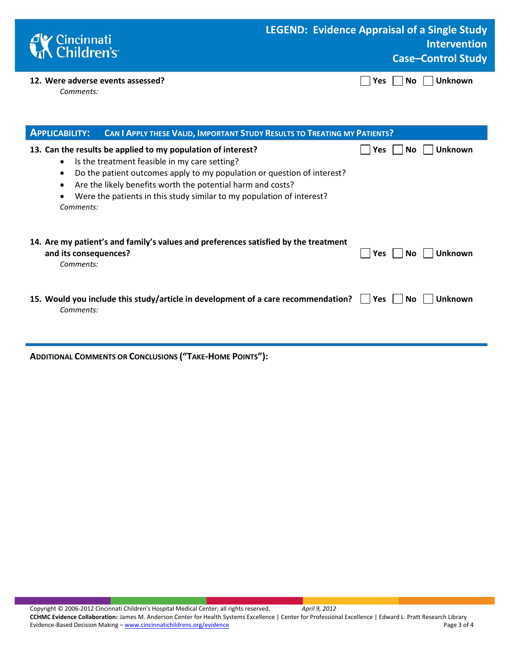| <b>C</b> Cincinnati<br><b>Children's</b>       | <b>LEGEND: Evidence Appraisal of a Single Study</b><br><b>Intervention</b><br><b>Case-Control Study</b> |
|------------------------------------------------|---------------------------------------------------------------------------------------------------------|
| 12. Were adverse events assessed?<br>Comments: | $\Box$ Yes $\Box$ No $\Box$ Unknown                                                                     |

| <b>APPLICABILITY:</b><br><b>CAN I APPLY THESE VALID, IMPORTANT STUDY RESULTS TO TREATING MY PATIENTS?</b>                                                                                                                                                                                                                                                  |                              |
|------------------------------------------------------------------------------------------------------------------------------------------------------------------------------------------------------------------------------------------------------------------------------------------------------------------------------------------------------------|------------------------------|
| 13. Can the results be applied to my population of interest?<br>Is the treatment feasible in my care setting?<br>$\bullet$<br>Do the patient outcomes apply to my population or question of interest?<br>Are the likely benefits worth the potential harm and costs?<br>Were the patients in this study similar to my population of interest?<br>Comments: | <b>Unknown</b><br>Yes<br>No. |
| 14. Are my patient's and family's values and preferences satisfied by the treatment<br>and its consequences?<br>Comments:                                                                                                                                                                                                                                  | <b>Unknown</b><br>Yes<br>No. |
| 15. Would you include this study/article in development of a care recommendation?<br>Comments:                                                                                                                                                                                                                                                             | Unknown<br>Yes<br>No l       |

**ADDITIONAL COMMENTS OR CONCLUSIONS ("TAKE-HOME POINTS"):**